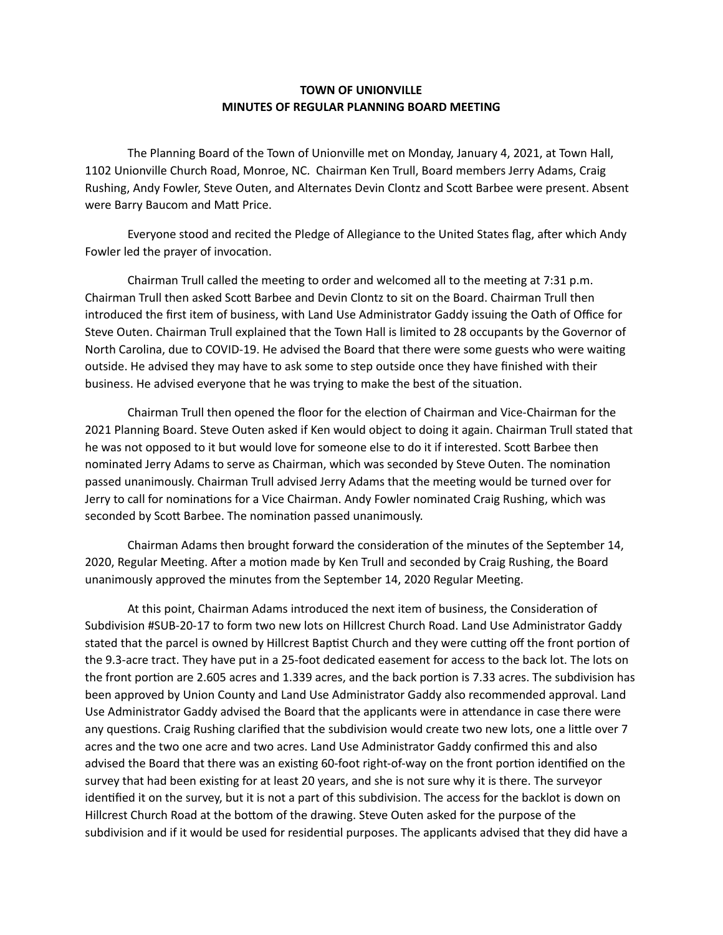## **TOWN OF UNIONVILLE MINUTES OF REGULAR PLANNING BOARD MEETING**

 The Planning Board of the Town of Unionville met on Monday, January 4, 2021, at Town Hall, 1102 Unionville Church Road, Monroe, NC. Chairman Ken Trull, Board members Jerry Adams, Craig Rushing, Andy Fowler, Steve Outen, and Alternates Devin Clontz and Scott Barbee were present. Absent were Barry Baucom and Matt Price.

Everyone stood and recited the Pledge of Allegiance to the United States flag, after which Andy Fowler led the prayer of invocation.

Chairman Trull called the meeting to order and welcomed all to the meeting at 7:31 p.m. Chairman Trull then asked Scott Barbee and Devin Clontz to sit on the Board. Chairman Trull then introduced the first item of business, with Land Use Administrator Gaddy issuing the Oath of Office for Steve Outen. Chairman Trull explained that the Town Hall is limited to 28 occupants by the Governor of North Carolina, due to COVID-19. He advised the Board that there were some guests who were waiting outside. He advised they may have to ask some to step outside once they have finished with their business. He advised everyone that he was trying to make the best of the situation.

Chairman Trull then opened the floor for the election of Chairman and Vice-Chairman for the 2021 Planning Board. Steve Outen asked if Ken would object to doing it again. Chairman Trull stated that he was not opposed to it but would love for someone else to do it if interested. Scott Barbee then nominated Jerry Adams to serve as Chairman, which was seconded by Steve Outen. The nomination passed unanimously. Chairman Trull advised Jerry Adams that the meeting would be turned over for Jerry to call for nominations for a Vice Chairman. Andy Fowler nominated Craig Rushing, which was seconded by Scott Barbee. The nomination passed unanimously.

Chairman Adams then brought forward the consideration of the minutes of the September 14, 2020, Regular Meeting. After a motion made by Ken Trull and seconded by Craig Rushing, the Board unanimously approved the minutes from the September 14, 2020 Regular Meeting.

At this point, Chairman Adams introduced the next item of business, the Consideration of Subdivision #SUB-20-17 to form two new lots on Hillcrest Church Road. Land Use Administrator Gaddy stated that the parcel is owned by Hillcrest Baptist Church and they were cutting off the front portion of the 9.3-acre tract. They have put in a 25-foot dedicated easement for access to the back lot. The lots on the front portion are 2.605 acres and 1.339 acres, and the back portion is 7.33 acres. The subdivision has been approved by Union County and Land Use Administrator Gaddy also recommended approval. Land Use Administrator Gaddy advised the Board that the applicants were in attendance in case there were any questions. Craig Rushing clarified that the subdivision would create two new lots, one a little over 7 acres and the two one acre and two acres. Land Use Administrator Gaddy confirmed this and also advised the Board that there was an existing 60-foot right-of-way on the front portion identified on the survey that had been existing for at least 20 years, and she is not sure why it is there. The surveyor identified it on the survey, but it is not a part of this subdivision. The access for the backlot is down on Hillcrest Church Road at the bottom of the drawing. Steve Outen asked for the purpose of the subdivision and if it would be used for residential purposes. The applicants advised that they did have a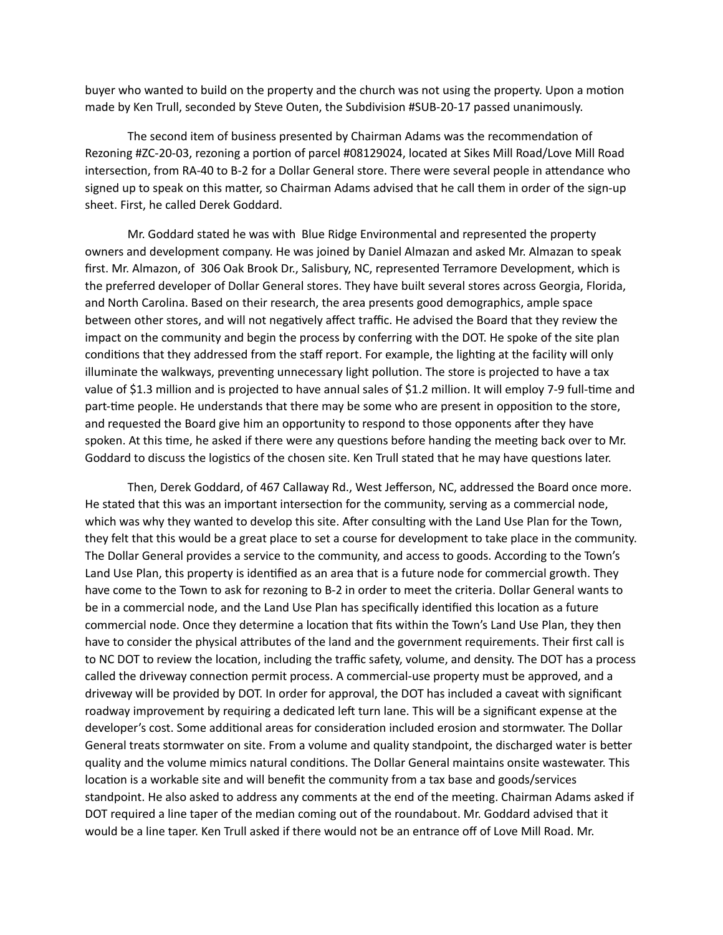buyer who wanted to build on the property and the church was not using the property. Upon a motion made by Ken Trull, seconded by Steve Outen, the Subdivision #SUB-20-17 passed unanimously.

The second item of business presented by Chairman Adams was the recommendation of Rezoning #ZC-20-03, rezoning a portion of parcel #08129024, located at Sikes Mill Road/Love Mill Road intersection, from RA-40 to B-2 for a Dollar General store. There were several people in attendance who signed up to speak on this matter, so Chairman Adams advised that he call them in order of the sign-up sheet. First, he called Derek Goddard.

Mr. Goddard stated he was with Blue Ridge Environmental and represented the property owners and development company. He was joined by Daniel Almazan and asked Mr. Almazan to speak first. Mr. Almazon, of 306 Oak Brook Dr., Salisbury, NC, represented Terramore Development, which is the preferred developer of Dollar General stores. They have built several stores across Georgia, Florida, and North Carolina. Based on their research, the area presents good demographics, ample space between other stores, and will not negatively affect traffic. He advised the Board that they review the impact on the community and begin the process by conferring with the DOT. He spoke of the site plan conditions that they addressed from the staff report. For example, the lighting at the facility will only illuminate the walkways, preventing unnecessary light pollution. The store is projected to have a tax value of \$1.3 million and is projected to have annual sales of \$1.2 million. It will employ 7-9 full-time and part-time people. He understands that there may be some who are present in opposition to the store, and requested the Board give him an opportunity to respond to those opponents after they have spoken. At this time, he asked if there were any questions before handing the meeting back over to Mr. Goddard to discuss the logistics of the chosen site. Ken Trull stated that he may have questions later.

Then, Derek Goddard, of 467 Callaway Rd., West Jefferson, NC, addressed the Board once more. He stated that this was an important intersection for the community, serving as a commercial node, which was why they wanted to develop this site. After consulting with the Land Use Plan for the Town, they felt that this would be a great place to set a course for development to take place in the community. The Dollar General provides a service to the community, and access to goods. According to the Town's Land Use Plan, this property is identified as an area that is a future node for commercial growth. They have come to the Town to ask for rezoning to B-2 in order to meet the criteria. Dollar General wants to be in a commercial node, and the Land Use Plan has specifically identified this location as a future commercial node. Once they determine a location that fits within the Town's Land Use Plan, they then have to consider the physical attributes of the land and the government requirements. Their first call is to NC DOT to review the location, including the traffic safety, volume, and density. The DOT has a process called the driveway connection permit process. A commercial-use property must be approved, and a driveway will be provided by DOT. In order for approval, the DOT has included a caveat with significant roadway improvement by requiring a dedicated left turn lane. This will be a significant expense at the developer's cost. Some additional areas for consideration included erosion and stormwater. The Dollar General treats stormwater on site. From a volume and quality standpoint, the discharged water is better quality and the volume mimics natural conditions. The Dollar General maintains onsite wastewater. This location is a workable site and will benefit the community from a tax base and goods/services standpoint. He also asked to address any comments at the end of the meeting. Chairman Adams asked if DOT required a line taper of the median coming out of the roundabout. Mr. Goddard advised that it would be a line taper. Ken Trull asked if there would not be an entrance off of Love Mill Road. Mr.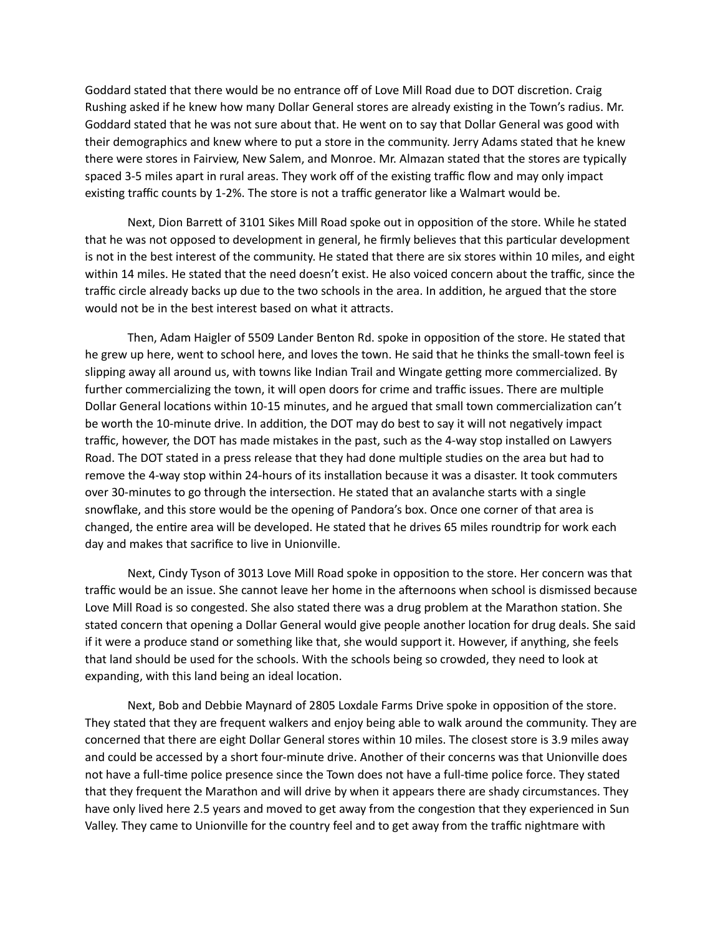Goddard stated that there would be no entrance off of Love Mill Road due to DOT discretion. Craig Rushing asked if he knew how many Dollar General stores are already existing in the Town's radius. Mr. Goddard stated that he was not sure about that. He went on to say that Dollar General was good with their demographics and knew where to put a store in the community. Jerry Adams stated that he knew there were stores in Fairview, New Salem, and Monroe. Mr. Almazan stated that the stores are typically spaced 3-5 miles apart in rural areas. They work off of the existing traffic flow and may only impact existing traffic counts by 1-2%. The store is not a traffic generator like a Walmart would be.

Next, Dion Barrett of 3101 Sikes Mill Road spoke out in opposition of the store. While he stated that he was not opposed to development in general, he firmly believes that this particular development is not in the best interest of the community. He stated that there are six stores within 10 miles, and eight within 14 miles. He stated that the need doesn't exist. He also voiced concern about the traffic, since the traffic circle already backs up due to the two schools in the area. In addition, he argued that the store would not be in the best interest based on what it attracts.

Then, Adam Haigler of 5509 Lander Benton Rd. spoke in opposition of the store. He stated that he grew up here, went to school here, and loves the town. He said that he thinks the small-town feel is slipping away all around us, with towns like Indian Trail and Wingate getting more commercialized. By further commercializing the town, it will open doors for crime and traffic issues. There are multiple Dollar General locations within 10-15 minutes, and he argued that small town commercialization can't be worth the 10-minute drive. In addition, the DOT may do best to say it will not negatively impact traffic, however, the DOT has made mistakes in the past, such as the 4-way stop installed on Lawyers Road. The DOT stated in a press release that they had done multiple studies on the area but had to remove the 4-way stop within 24-hours of its installation because it was a disaster. It took commuters over 30-minutes to go through the intersection. He stated that an avalanche starts with a single snowflake, and this store would be the opening of Pandora's box. Once one corner of that area is changed, the entire area will be developed. He stated that he drives 65 miles roundtrip for work each day and makes that sacrifice to live in Unionville.

Next, Cindy Tyson of 3013 Love Mill Road spoke in opposition to the store. Her concern was that traffic would be an issue. She cannot leave her home in the afternoons when school is dismissed because Love Mill Road is so congested. She also stated there was a drug problem at the Marathon station. She stated concern that opening a Dollar General would give people another location for drug deals. She said if it were a produce stand or something like that, she would support it. However, if anything, she feels that land should be used for the schools. With the schools being so crowded, they need to look at expanding, with this land being an ideal location.

Next, Bob and Debbie Maynard of 2805 Loxdale Farms Drive spoke in opposition of the store. They stated that they are frequent walkers and enjoy being able to walk around the community. They are concerned that there are eight Dollar General stores within 10 miles. The closest store is 3.9 miles away and could be accessed by a short four-minute drive. Another of their concerns was that Unionville does not have a full-time police presence since the Town does not have a full-time police force. They stated that they frequent the Marathon and will drive by when it appears there are shady circumstances. They have only lived here 2.5 years and moved to get away from the congestion that they experienced in Sun Valley. They came to Unionville for the country feel and to get away from the traffic nightmare with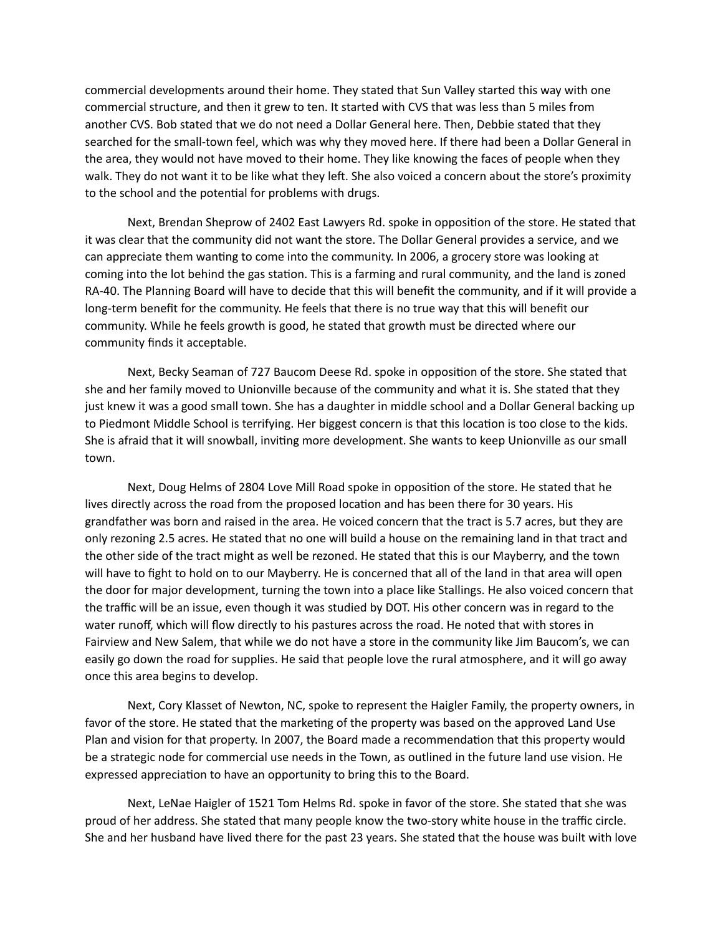commercial developments around their home. They stated that Sun Valley started this way with one commercial structure, and then it grew to ten. It started with CVS that was less than 5 miles from another CVS. Bob stated that we do not need a Dollar General here. Then, Debbie stated that they searched for the small-town feel, which was why they moved here. If there had been a Dollar General in the area, they would not have moved to their home. They like knowing the faces of people when they walk. They do not want it to be like what they left. She also voiced a concern about the store's proximity to the school and the potential for problems with drugs.

Next, Brendan Sheprow of 2402 East Lawyers Rd. spoke in opposition of the store. He stated that it was clear that the community did not want the store. The Dollar General provides a service, and we can appreciate them wanting to come into the community. In 2006, a grocery store was looking at coming into the lot behind the gas station. This is a farming and rural community, and the land is zoned RA-40. The Planning Board will have to decide that this will benefit the community, and if it will provide a long-term benefit for the community. He feels that there is no true way that this will benefit our community. While he feels growth is good, he stated that growth must be directed where our community finds it acceptable.

Next, Becky Seaman of 727 Baucom Deese Rd. spoke in opposition of the store. She stated that she and her family moved to Unionville because of the community and what it is. She stated that they just knew it was a good small town. She has a daughter in middle school and a Dollar General backing up to Piedmont Middle School is terrifying. Her biggest concern is that this location is too close to the kids. She is afraid that it will snowball, inviting more development. She wants to keep Unionville as our small town.

Next, Doug Helms of 2804 Love Mill Road spoke in opposition of the store. He stated that he lives directly across the road from the proposed location and has been there for 30 years. His grandfather was born and raised in the area. He voiced concern that the tract is 5.7 acres, but they are only rezoning 2.5 acres. He stated that no one will build a house on the remaining land in that tract and the other side of the tract might as well be rezoned. He stated that this is our Mayberry, and the town will have to fight to hold on to our Mayberry. He is concerned that all of the land in that area will open the door for major development, turning the town into a place like Stallings. He also voiced concern that the traffic will be an issue, even though it was studied by DOT. His other concern was in regard to the water runoff, which will flow directly to his pastures across the road. He noted that with stores in Fairview and New Salem, that while we do not have a store in the community like Jim Baucom's, we can easily go down the road for supplies. He said that people love the rural atmosphere, and it will go away once this area begins to develop.

Next, Cory Klasset of Newton, NC, spoke to represent the Haigler Family, the property owners, in favor of the store. He stated that the marketing of the property was based on the approved Land Use Plan and vision for that property. In 2007, the Board made a recommendation that this property would be a strategic node for commercial use needs in the Town, as outlined in the future land use vision. He expressed appreciation to have an opportunity to bring this to the Board.

Next, LeNae Haigler of 1521 Tom Helms Rd. spoke in favor of the store. She stated that she was proud of her address. She stated that many people know the two-story white house in the traffic circle. She and her husband have lived there for the past 23 years. She stated that the house was built with love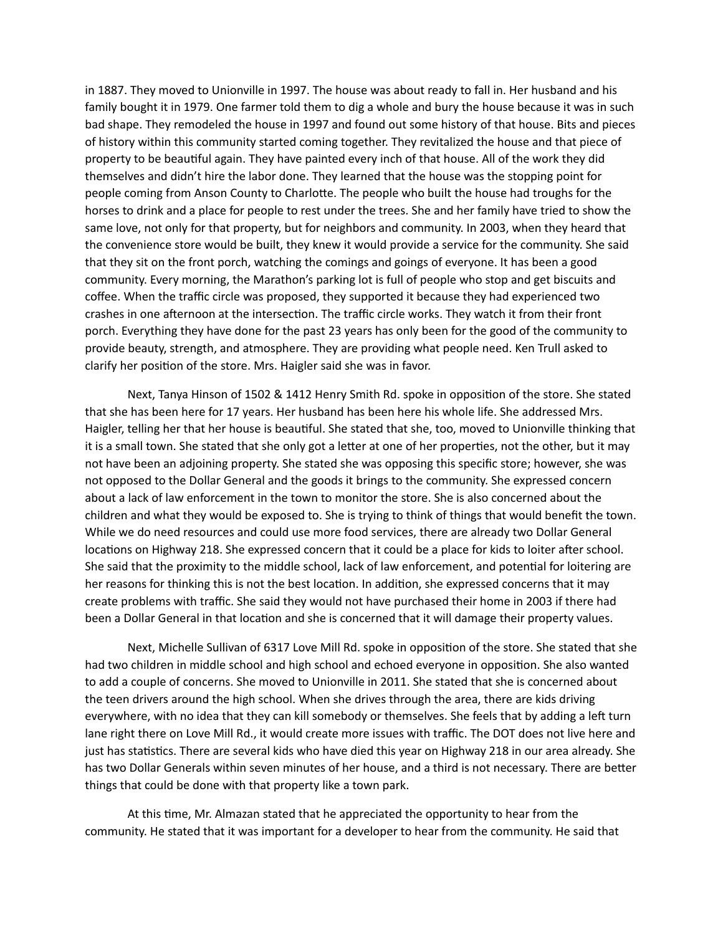in 1887. They moved to Unionville in 1997. The house was about ready to fall in. Her husband and his family bought it in 1979. One farmer told them to dig a whole and bury the house because it was in such bad shape. They remodeled the house in 1997 and found out some history of that house. Bits and pieces of history within this community started coming together. They revitalized the house and that piece of property to be beautiful again. They have painted every inch of that house. All of the work they did themselves and didn't hire the labor done. They learned that the house was the stopping point for people coming from Anson County to Charlotte. The people who built the house had troughs for the horses to drink and a place for people to rest under the trees. She and her family have tried to show the same love, not only for that property, but for neighbors and community. In 2003, when they heard that the convenience store would be built, they knew it would provide a service for the community. She said that they sit on the front porch, watching the comings and goings of everyone. It has been a good community. Every morning, the Marathon's parking lot is full of people who stop and get biscuits and coffee. When the traffic circle was proposed, they supported it because they had experienced two crashes in one afternoon at the intersection. The traffic circle works. They watch it from their front porch. Everything they have done for the past 23 years has only been for the good of the community to provide beauty, strength, and atmosphere. They are providing what people need. Ken Trull asked to clarify her position of the store. Mrs. Haigler said she was in favor.

Next, Tanya Hinson of 1502 & 1412 Henry Smith Rd. spoke in opposition of the store. She stated that she has been here for 17 years. Her husband has been here his whole life. She addressed Mrs. Haigler, telling her that her house is beautiful. She stated that she, too, moved to Unionville thinking that it is a small town. She stated that she only got a letter at one of her properties, not the other, but it may not have been an adjoining property. She stated she was opposing this specific store; however, she was not opposed to the Dollar General and the goods it brings to the community. She expressed concern about a lack of law enforcement in the town to monitor the store. She is also concerned about the children and what they would be exposed to. She is trying to think of things that would benefit the town. While we do need resources and could use more food services, there are already two Dollar General locations on Highway 218. She expressed concern that it could be a place for kids to loiter after school. She said that the proximity to the middle school, lack of law enforcement, and potential for loitering are her reasons for thinking this is not the best location. In addition, she expressed concerns that it may create problems with traffic. She said they would not have purchased their home in 2003 if there had been a Dollar General in that location and she is concerned that it will damage their property values.

Next, Michelle Sullivan of 6317 Love Mill Rd. spoke in opposition of the store. She stated that she had two children in middle school and high school and echoed everyone in opposition. She also wanted to add a couple of concerns. She moved to Unionville in 2011. She stated that she is concerned about the teen drivers around the high school. When she drives through the area, there are kids driving everywhere, with no idea that they can kill somebody or themselves. She feels that by adding a left turn lane right there on Love Mill Rd., it would create more issues with traffic. The DOT does not live here and just has statistics. There are several kids who have died this year on Highway 218 in our area already. She has two Dollar Generals within seven minutes of her house, and a third is not necessary. There are better things that could be done with that property like a town park.

At this time, Mr. Almazan stated that he appreciated the opportunity to hear from the community. He stated that it was important for a developer to hear from the community. He said that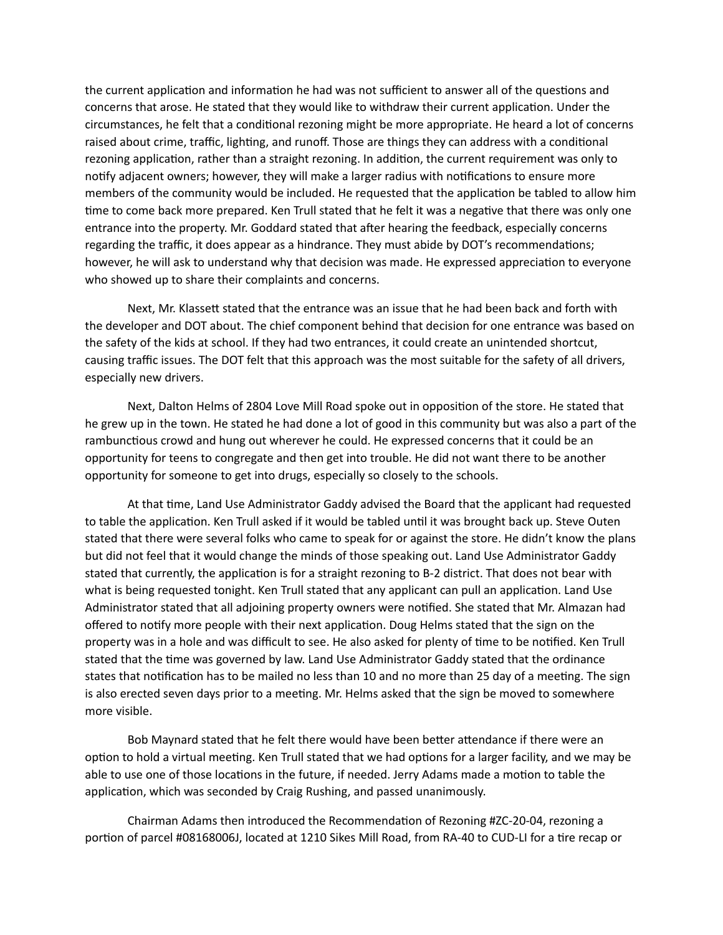the current application and information he had was not sufficient to answer all of the questions and concerns that arose. He stated that they would like to withdraw their current application. Under the circumstances, he felt that a conditional rezoning might be more appropriate. He heard a lot of concerns raised about crime, traffic, lighting, and runoff. Those are things they can address with a conditional rezoning application, rather than a straight rezoning. In addition, the current requirement was only to notify adjacent owners; however, they will make a larger radius with notifications to ensure more members of the community would be included. He requested that the application be tabled to allow him time to come back more prepared. Ken Trull stated that he felt it was a negative that there was only one entrance into the property. Mr. Goddard stated that after hearing the feedback, especially concerns regarding the traffic, it does appear as a hindrance. They must abide by DOT's recommendations; however, he will ask to understand why that decision was made. He expressed appreciation to everyone who showed up to share their complaints and concerns.

Next, Mr. Klassett stated that the entrance was an issue that he had been back and forth with the developer and DOT about. The chief component behind that decision for one entrance was based on the safety of the kids at school. If they had two entrances, it could create an unintended shortcut, causing traffic issues. The DOT felt that this approach was the most suitable for the safety of all drivers, especially new drivers.

Next, Dalton Helms of 2804 Love Mill Road spoke out in opposition of the store. He stated that he grew up in the town. He stated he had done a lot of good in this community but was also a part of the rambunctious crowd and hung out wherever he could. He expressed concerns that it could be an opportunity for teens to congregate and then get into trouble. He did not want there to be another opportunity for someone to get into drugs, especially so closely to the schools.

At that time, Land Use Administrator Gaddy advised the Board that the applicant had requested to table the application. Ken Trull asked if it would be tabled until it was brought back up. Steve Outen stated that there were several folks who came to speak for or against the store. He didn't know the plans but did not feel that it would change the minds of those speaking out. Land Use Administrator Gaddy stated that currently, the application is for a straight rezoning to B-2 district. That does not bear with what is being requested tonight. Ken Trull stated that any applicant can pull an application. Land Use Administrator stated that all adjoining property owners were notified. She stated that Mr. Almazan had offered to notify more people with their next application. Doug Helms stated that the sign on the property was in a hole and was difficult to see. He also asked for plenty of time to be notified. Ken Trull stated that the time was governed by law. Land Use Administrator Gaddy stated that the ordinance states that notification has to be mailed no less than 10 and no more than 25 day of a meeting. The sign is also erected seven days prior to a meeting. Mr. Helms asked that the sign be moved to somewhere more visible.

Bob Maynard stated that he felt there would have been better attendance if there were an option to hold a virtual meeting. Ken Trull stated that we had options for a larger facility, and we may be able to use one of those locations in the future, if needed. Jerry Adams made a motion to table the application, which was seconded by Craig Rushing, and passed unanimously.

Chairman Adams then introduced the Recommendation of Rezoning #ZC-20-04, rezoning a portion of parcel #08168006J, located at 1210 Sikes Mill Road, from RA-40 to CUD-LI for a tire recap or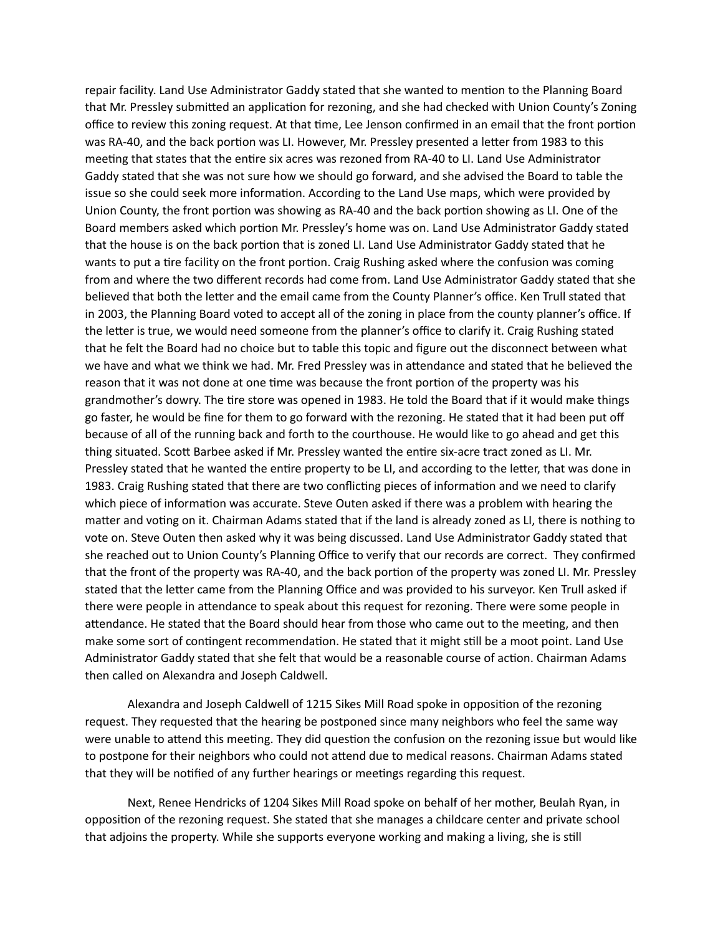repair facility. Land Use Administrator Gaddy stated that she wanted to mention to the Planning Board that Mr. Pressley submitted an application for rezoning, and she had checked with Union County's Zoning office to review this zoning request. At that time, Lee Jenson confirmed in an email that the front portion was RA-40, and the back portion was LI. However, Mr. Pressley presented a letter from 1983 to this meeting that states that the entire six acres was rezoned from RA-40 to LI. Land Use Administrator Gaddy stated that she was not sure how we should go forward, and she advised the Board to table the issue so she could seek more information. According to the Land Use maps, which were provided by Union County, the front portion was showing as RA-40 and the back portion showing as LI. One of the Board members asked which portion Mr. Pressley's home was on. Land Use Administrator Gaddy stated that the house is on the back portion that is zoned LI. Land Use Administrator Gaddy stated that he wants to put a tire facility on the front portion. Craig Rushing asked where the confusion was coming from and where the two different records had come from. Land Use Administrator Gaddy stated that she believed that both the letter and the email came from the County Planner's office. Ken Trull stated that in 2003, the Planning Board voted to accept all of the zoning in place from the county planner's office. If the letter is true, we would need someone from the planner's office to clarify it. Craig Rushing stated that he felt the Board had no choice but to table this topic and figure out the disconnect between what we have and what we think we had. Mr. Fred Pressley was in attendance and stated that he believed the reason that it was not done at one time was because the front portion of the property was his grandmother's dowry. The tire store was opened in 1983. He told the Board that if it would make things go faster, he would be fine for them to go forward with the rezoning. He stated that it had been put off because of all of the running back and forth to the courthouse. He would like to go ahead and get this thing situated. Scott Barbee asked if Mr. Pressley wanted the entire six-acre tract zoned as LI. Mr. Pressley stated that he wanted the entire property to be LI, and according to the letter, that was done in 1983. Craig Rushing stated that there are two conflicting pieces of information and we need to clarify which piece of information was accurate. Steve Outen asked if there was a problem with hearing the matter and voting on it. Chairman Adams stated that if the land is already zoned as LI, there is nothing to vote on. Steve Outen then asked why it was being discussed. Land Use Administrator Gaddy stated that she reached out to Union County's Planning Office to verify that our records are correct. They confirmed that the front of the property was RA-40, and the back portion of the property was zoned LI. Mr. Pressley stated that the letter came from the Planning Office and was provided to his surveyor. Ken Trull asked if there were people in attendance to speak about this request for rezoning. There were some people in attendance. He stated that the Board should hear from those who came out to the meeting, and then make some sort of contingent recommendation. He stated that it might still be a moot point. Land Use Administrator Gaddy stated that she felt that would be a reasonable course of action. Chairman Adams then called on Alexandra and Joseph Caldwell.

Alexandra and Joseph Caldwell of 1215 Sikes Mill Road spoke in opposition of the rezoning request. They requested that the hearing be postponed since many neighbors who feel the same way were unable to attend this meeting. They did question the confusion on the rezoning issue but would like to postpone for their neighbors who could not attend due to medical reasons. Chairman Adams stated that they will be notified of any further hearings or meetings regarding this request.

Next, Renee Hendricks of 1204 Sikes Mill Road spoke on behalf of her mother, Beulah Ryan, in opposition of the rezoning request. She stated that she manages a childcare center and private school that adjoins the property. While she supports everyone working and making a living, she is still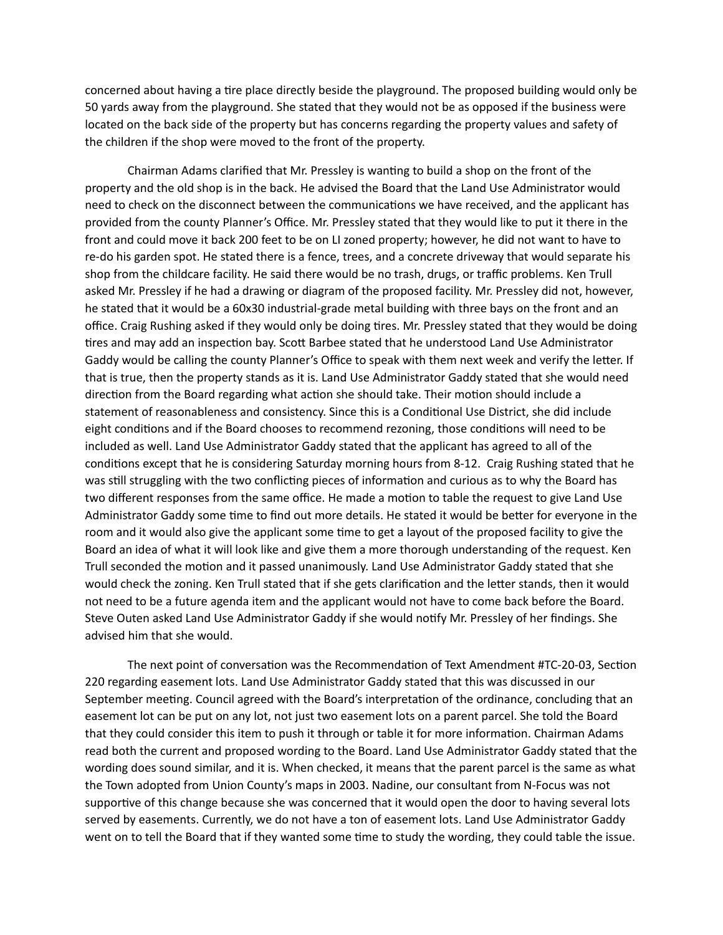concerned about having a tire place directly beside the playground. The proposed building would only be 50 yards away from the playground. She stated that they would not be as opposed if the business were located on the back side of the property but has concerns regarding the property values and safety of the children if the shop were moved to the front of the property.

Chairman Adams clarified that Mr. Pressley is wanting to build a shop on the front of the property and the old shop is in the back. He advised the Board that the Land Use Administrator would need to check on the disconnect between the communications we have received, and the applicant has provided from the county Planner's Office. Mr. Pressley stated that they would like to put it there in the front and could move it back 200 feet to be on LI zoned property; however, he did not want to have to re-do his garden spot. He stated there is a fence, trees, and a concrete driveway that would separate his shop from the childcare facility. He said there would be no trash, drugs, or traffic problems. Ken Trull asked Mr. Pressley if he had a drawing or diagram of the proposed facility. Mr. Pressley did not, however, he stated that it would be a 60x30 industrial-grade metal building with three bays on the front and an office. Craig Rushing asked if they would only be doing tires. Mr. Pressley stated that they would be doing tires and may add an inspection bay. Scott Barbee stated that he understood Land Use Administrator Gaddy would be calling the county Planner's Office to speak with them next week and verify the letter. If that is true, then the property stands as it is. Land Use Administrator Gaddy stated that she would need direction from the Board regarding what action she should take. Their motion should include a statement of reasonableness and consistency. Since this is a Conditional Use District, she did include eight conditions and if the Board chooses to recommend rezoning, those conditions will need to be included as well. Land Use Administrator Gaddy stated that the applicant has agreed to all of the conditions except that he is considering Saturday morning hours from 8-12. Craig Rushing stated that he was still struggling with the two conflicting pieces of information and curious as to why the Board has two different responses from the same office. He made a motion to table the request to give Land Use Administrator Gaddy some time to find out more details. He stated it would be better for everyone in the room and it would also give the applicant some time to get a layout of the proposed facility to give the Board an idea of what it will look like and give them a more thorough understanding of the request. Ken Trull seconded the motion and it passed unanimously. Land Use Administrator Gaddy stated that she would check the zoning. Ken Trull stated that if she gets clarification and the letter stands, then it would not need to be a future agenda item and the applicant would not have to come back before the Board. Steve Outen asked Land Use Administrator Gaddy if she would notify Mr. Pressley of her findings. She advised him that she would.

The next point of conversation was the Recommendation of Text Amendment #TC-20-03, Section 220 regarding easement lots. Land Use Administrator Gaddy stated that this was discussed in our September meeting. Council agreed with the Board's interpretation of the ordinance, concluding that an easement lot can be put on any lot, not just two easement lots on a parent parcel. She told the Board that they could consider this item to push it through or table it for more information. Chairman Adams read both the current and proposed wording to the Board. Land Use Administrator Gaddy stated that the wording does sound similar, and it is. When checked, it means that the parent parcel is the same as what the Town adopted from Union County's maps in 2003. Nadine, our consultant from N-Focus was not supportive of this change because she was concerned that it would open the door to having several lots served by easements. Currently, we do not have a ton of easement lots. Land Use Administrator Gaddy went on to tell the Board that if they wanted some time to study the wording, they could table the issue.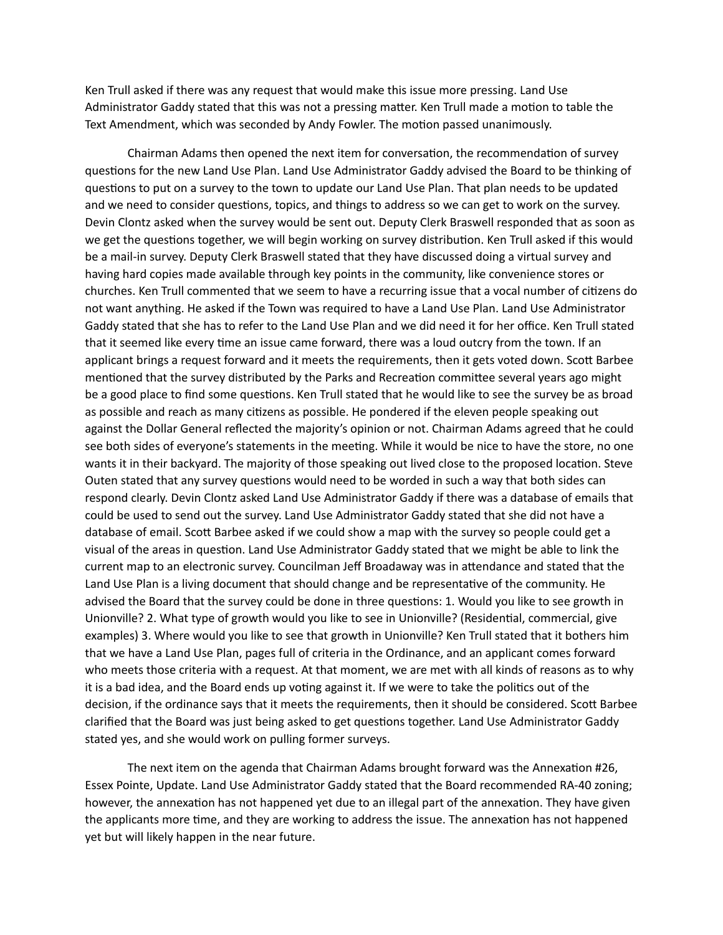Ken Trull asked if there was any request that would make this issue more pressing. Land Use Administrator Gaddy stated that this was not a pressing matter. Ken Trull made a motion to table the Text Amendment, which was seconded by Andy Fowler. The motion passed unanimously.

Chairman Adams then opened the next item for conversation, the recommendation of survey questions for the new Land Use Plan. Land Use Administrator Gaddy advised the Board to be thinking of questions to put on a survey to the town to update our Land Use Plan. That plan needs to be updated and we need to consider questions, topics, and things to address so we can get to work on the survey. Devin Clontz asked when the survey would be sent out. Deputy Clerk Braswell responded that as soon as we get the questions together, we will begin working on survey distribution. Ken Trull asked if this would be a mail-in survey. Deputy Clerk Braswell stated that they have discussed doing a virtual survey and having hard copies made available through key points in the community, like convenience stores or churches. Ken Trull commented that we seem to have a recurring issue that a vocal number of citizens do not want anything. He asked if the Town was required to have a Land Use Plan. Land Use Administrator Gaddy stated that she has to refer to the Land Use Plan and we did need it for her office. Ken Trull stated that it seemed like every time an issue came forward, there was a loud outcry from the town. If an applicant brings a request forward and it meets the requirements, then it gets voted down. Scott Barbee mentioned that the survey distributed by the Parks and Recreation committee several years ago might be a good place to find some questions. Ken Trull stated that he would like to see the survey be as broad as possible and reach as many citizens as possible. He pondered if the eleven people speaking out against the Dollar General reflected the majority's opinion or not. Chairman Adams agreed that he could see both sides of everyone's statements in the meeting. While it would be nice to have the store, no one wants it in their backyard. The majority of those speaking out lived close to the proposed location. Steve Outen stated that any survey questions would need to be worded in such a way that both sides can respond clearly. Devin Clontz asked Land Use Administrator Gaddy if there was a database of emails that could be used to send out the survey. Land Use Administrator Gaddy stated that she did not have a database of email. Scott Barbee asked if we could show a map with the survey so people could get a visual of the areas in question. Land Use Administrator Gaddy stated that we might be able to link the current map to an electronic survey. Councilman Jeff Broadaway was in attendance and stated that the Land Use Plan is a living document that should change and be representative of the community. He advised the Board that the survey could be done in three questions: 1. Would you like to see growth in Unionville? 2. What type of growth would you like to see in Unionville? (Residential, commercial, give examples) 3. Where would you like to see that growth in Unionville? Ken Trull stated that it bothers him that we have a Land Use Plan, pages full of criteria in the Ordinance, and an applicant comes forward who meets those criteria with a request. At that moment, we are met with all kinds of reasons as to why it is a bad idea, and the Board ends up voting against it. If we were to take the politics out of the decision, if the ordinance says that it meets the requirements, then it should be considered. Scott Barbee clarified that the Board was just being asked to get questions together. Land Use Administrator Gaddy stated yes, and she would work on pulling former surveys.

The next item on the agenda that Chairman Adams brought forward was the Annexation #26, Essex Pointe, Update. Land Use Administrator Gaddy stated that the Board recommended RA-40 zoning; however, the annexation has not happened yet due to an illegal part of the annexation. They have given the applicants more time, and they are working to address the issue. The annexation has not happened yet but will likely happen in the near future.